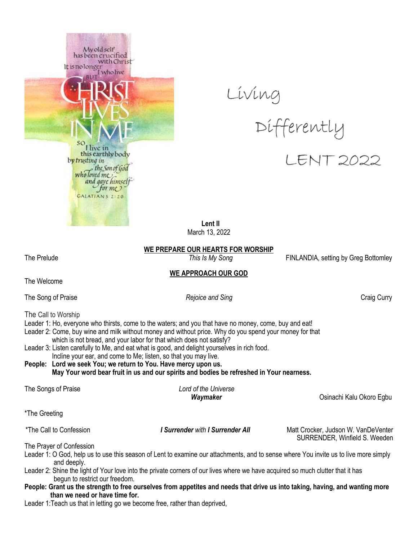





 **Lent II** March 13, 2022

**WE PREPARE OUR HEARTS FOR WORSHIP**

The Prelude *This Is My Song* FINLANDIA, setting by Greg Bottomley

SURRENDER, Winfield S. Weeden

### **WE APPROACH OUR GOD**

The Welcome

The Song of Praise *Rejoice and Sing* Craig Curry

The Call to Worship

- Leader 1: Ho, everyone who thirsts, come to the waters; and you that have no money, come, buy and eat!
- Leader 2: Come, buy wine and milk without money and without price. Why do you spend your money for that
- which is not bread, and your labor for that which does not satisfy?
- Leader 3: Listen carefully to Me, and eat what is good, and delight yourselves in rich food. Incline your ear, and come to Me; listen, so that you may live.
- **People: Lord we seek You; we return to You. Have mercy upon us. May Your word bear fruit in us and our spirits and bodies be refreshed in Your nearness.**

| The Songs of Praise     | Lord of the Universe<br>Waymaker | Osinachi Kalu Okoro Egbu            |  |
|-------------------------|----------------------------------|-------------------------------------|--|
| *The Greeting           |                                  |                                     |  |
| *The Call to Confession | I Surrender with I Surrender All | Matt Crocker, Judson W. VanDeVenter |  |

The Prayer of Confession

- Leader 1: O God, help us to use this season of Lent to examine our attachments, and to sense where You invite us to live more simply and deeply.
- Leader 2: Shine the light of Your love into the private corners of our lives where we have acquired so much clutter that it has begun to restrict our freedom.
- People: Grant us the strength to free ourselves from appetites and needs that drive us into taking, having, and wanting more  **than we need or have time for.**

Leader 1:Teach us that in letting go we become free, rather than deprived,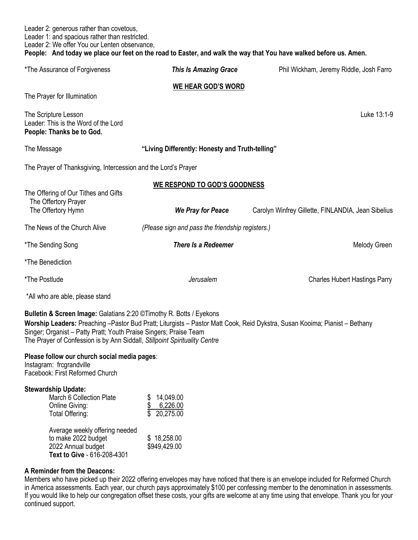| Leader 2: generous rather than covetous,<br>Leader 1: and spacious rather than restricted.<br>Leader 2: We offer You our Lenten observance,                                                                            |                                                      | People: And today we place our feet on the road to Easter, and walk the way that You have walked before us. Amen.                  |
|------------------------------------------------------------------------------------------------------------------------------------------------------------------------------------------------------------------------|------------------------------------------------------|------------------------------------------------------------------------------------------------------------------------------------|
| *The Assurance of Forgiveness                                                                                                                                                                                          | <b>This Is Amazing Grace</b>                         | Phil Wickham, Jeremy Riddle, Josh Farro                                                                                            |
|                                                                                                                                                                                                                        | <b>WE HEAR GOD'S WORD</b>                            |                                                                                                                                    |
| The Prayer for Illumination                                                                                                                                                                                            |                                                      |                                                                                                                                    |
| The Scripture Lesson<br>Leader: This is the Word of the Lord<br>People: Thanks be to God.                                                                                                                              |                                                      | Luke 13:1-9                                                                                                                        |
| The Message                                                                                                                                                                                                            | "Living Differently: Honesty and Truth-telling"      |                                                                                                                                    |
| The Prayer of Thanksgiving, Intercession and the Lord's Prayer                                                                                                                                                         |                                                      |                                                                                                                                    |
|                                                                                                                                                                                                                        | <b>WE RESPOND TO GOD'S GOODNESS</b>                  |                                                                                                                                    |
| The Offering of Our Tithes and Gifts<br>The Offertory Prayer                                                                                                                                                           |                                                      |                                                                                                                                    |
| The Offertory Hymn                                                                                                                                                                                                     | <b>We Pray for Peace</b>                             | Carolyn Winfrey Gillette, FINLANDIA, Jean Sibelius                                                                                 |
| The News of the Church Alive                                                                                                                                                                                           | (Please sign and pass the friendship registers.)     |                                                                                                                                    |
| *The Sending Song                                                                                                                                                                                                      | <b>There Is a Redeemer</b>                           | Melody Green                                                                                                                       |
| *The Benediction                                                                                                                                                                                                       |                                                      |                                                                                                                                    |
| *The Postlude                                                                                                                                                                                                          | Jerusalem                                            | <b>Charles Hubert Hastings Parry</b>                                                                                               |
| *All who are able, please stand                                                                                                                                                                                        |                                                      |                                                                                                                                    |
| Bulletin & Screen Image: Galatians 2:20 ©Timothy R. Botts / Eyekons<br>Singer; Organist - Patty Pratt; Youth Praise Singers; Praise Team<br>The Prayer of Confession is by Ann Siddall, Stillpoint Spirituality Centre |                                                      | Worship Leaders: Preaching -Pastor Bud Pratt; Liturgists - Pastor Matt Cook, Reid Dykstra, Susan Kooima; Pianist - Bethany         |
| Please follow our church social media pages:<br>Instagram: frcgrandville<br>Facebook: First Reformed Church                                                                                                            |                                                      |                                                                                                                                    |
| <b>Stewardship Update:</b><br>March 6 Collection Plate<br><b>Online Giving:</b><br>Total Offering:                                                                                                                     | 14,049.00<br>\$6,226.00<br>$\overline{\$}$ 20,275.00 |                                                                                                                                    |
| Average weekly offering needed<br>to make 2022 budget<br>2022 Annual budget<br>Text to Give - 616-208-4301                                                                                                             | \$18,258.00<br>\$949,429.00                          |                                                                                                                                    |
| A Reminder from the Deacons:                                                                                                                                                                                           |                                                      | Mombors who boys picked up their 2022 offering equalgons moy boys potional that there is an equalgons included for Defermed Church |

Members who have picked up their 2022 offering envelopes may have noticed that there is an envelope included for Reformed Church in America assessments. Each year, our church pays approximately \$100 per confessing member to the denomination in assessments. If you would like to help our congregation offset these costs, your gifts are welcome at any time using that envelope. Thank you for your continued support.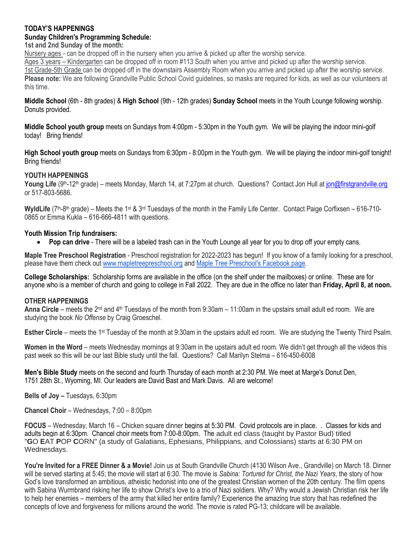### **TODAY'S HAPPENINGS**

## **Sunday Children's Programming Schedule:**

**1st and 2nd Sunday of the month:**

Nursery ages - can be dropped off in the nursery when you arrive & picked up after the worship service.

Ages 3 years – Kindergarten can be dropped off in room #113 South when you arrive and picked up after the worship service. 1st Grade-5th Grade can be dropped off in the downstairs Assembly Room when you arrive and picked up after the worship service. **Please note:** We are following Grandville Public School Covid guidelines, so masks are required for kids, as well as our volunteers at this time.

**Middle School** (6th - 8th grades) & **High School** (9th - 12th grades) **Sunday School** meets in the Youth Lounge following worship. Donuts provided.

**Middle School youth group** meets on Sundays from 4:00pm - 5:30pm in the Youth gym. We will be playing the indoor mini-golf today! Bring friends!

**High School youth group** meets on Sundays from 6:30pm - 8:00pm in the Youth gym. We will be playing the indoor mini-golf tonight! Bring friends!

## **YOUTH HAPPENINGS**

Young Life (9<sup>th</sup>-12<sup>th</sup> grade) – meets Monday, March 14, at 7:27pm at church. Questions? Contact Jon Hull at [jon@firstgrandville.org](mailto:jon@firstgrandville.org) or 517-803-5686.

WyldLife (7<sup>th</sup>-8<sup>th</sup> grade) – Meets the 1<sup>st</sup> & 3<sup>rd</sup> Tuesdays of the month in the Family Life Center. Contact Paige Corfixsen – 616-710-0865 or Emma Kukla – 616-666-4811 with questions.

## **Youth Mission Trip fundraisers:**

**Pop can drive** - There will be a labeled trash can in the Youth Lounge all year for you to drop off your empty cans.

**Maple Tree Preschool Registration** - Preschool registration for 2022-2023 has begun! If you know of a family looking for a preschool, please have them check out [www.mapletreepreschool.org](http://www.mapletreepreschool.org/) and [Maple Tree Preschool's](https://www.facebook.com/Maple-Tree-Preschool-107534002642706) Facebook page.

**College Scholarships:** Scholarship forms are available in the office (on the shelf under the mailboxes) or online. These are for anyone who is a member of church and going to college in Fall 2022. They are due in the office no later than **Friday, April 8, at noon.**

### **OTHER HAPPENINGS**

**Anna Circle** – meets the 2nd and 4th Tuesdays of the month from 9:30am – 11:00am in the upstairs small adult ed room. We are studying the book *No Offense* by Craig Groeschel.

**Esther Circle** – meets the 1<sup>st</sup> Tuesday of the month at 9:30am in the upstairs adult ed room. We are studying the Twenty Third Psalm.

**Women in the Word** – meets Wednesday mornings at 9:30am in the upstairs adult ed room. We didn't get through all the videos this past week so this will be our last Bible study until the fall. Questions? Call Marilyn Stelma – 616-450-6008

**Men's Bible Study** meets on the second and fourth Thursday of each month at 2:30 PM. We meet at Marge's Donut Den, 1751 28th St., Wyoming, MI. Our leaders are David Bast and Mark Davis. All are welcome!

**Bells of Joy –** Tuesdays, 6:30pm

**Chancel Choir** – Wednesdays, 7:00 – 8:00pm

**FOCUS** – Wednesday, March 16 – Chicken square dinner begins at 5:30 PM. Covid protocols are in place. . Classes for kids and adults begin at 6:30pm. Chancel choir meets from 7:00-8:00pm. The adult ed class (taught by Pastor Bud) titled "**G**O **E**AT **P**OP **C**ORN" (a study of Galatians, Ephesians, Philippians, and Colossians) starts at 6:30 PM on Wednesdays.

**You're Invited for a FREE Dinner & a Movie!** Join us at South Grandville Church (4130 Wilson Ave., Grandville) on March 18. Dinner will be served starting at 5:45; the movie will start at 6:30. The movie is *Sabina: Tortured for Christ, the Nazi Years*, the story of how God's love transformed an ambitious, atheistic hedonist into one of the greatest Christian women of the 20th century. The film opens with Sabina Wurmbrand risking her life to show Christ's love to a trio of Nazi soldiers. Why? Why would a Jewish Christian risk her life to help her enemies – members of the army that killed her entire family? Experience the amazing true story that has redefined the concepts of love and forgiveness for millions around the world. The movie is rated PG-13; childcare will be available.